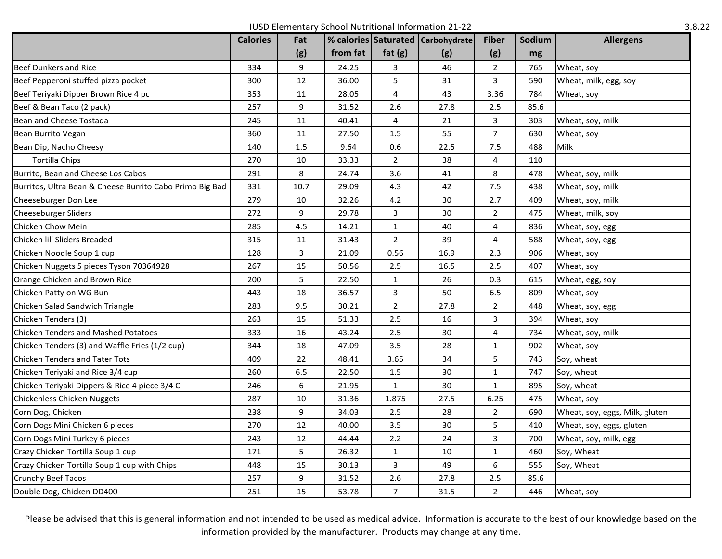IUSD Elementary School Nutritional Information 21-22 3.8.22

|                                                          | <b>Calories</b> | Fat  |          |                | % calories Saturated Carbohydrate | <b>Fiber</b>   | Sodium | <b>Allergens</b>               |
|----------------------------------------------------------|-----------------|------|----------|----------------|-----------------------------------|----------------|--------|--------------------------------|
|                                                          |                 | (g)  | from fat | fat $(g)$      | (g)                               | (g)            | mg     |                                |
| <b>Beef Dunkers and Rice</b>                             | 334             | 9    | 24.25    | $\mathbf{3}$   | 46                                | $\overline{2}$ | 765    | Wheat, soy                     |
| Beef Pepperoni stuffed pizza pocket                      | 300             | 12   | 36.00    | 5              | 31                                | 3              | 590    | Wheat, milk, egg, soy          |
| Beef Teriyaki Dipper Brown Rice 4 pc                     | 353             | 11   | 28.05    | 4              | 43                                | 3.36           | 784    | Wheat, soy                     |
| Beef & Bean Taco (2 pack)                                | 257             | 9    | 31.52    | 2.6            | 27.8                              | 2.5            | 85.6   |                                |
| Bean and Cheese Tostada                                  | 245             | 11   | 40.41    | 4              | 21                                | 3              | 303    | Wheat, soy, milk               |
| Bean Burrito Vegan                                       | 360             | 11   | 27.50    | 1.5            | 55                                | $\overline{7}$ | 630    | Wheat, soy                     |
| Bean Dip, Nacho Cheesy                                   | 140             | 1.5  | 9.64     | 0.6            | 22.5                              | 7.5            | 488    | Milk                           |
| <b>Tortilla Chips</b>                                    | 270             | 10   | 33.33    | $\overline{2}$ | 38                                | 4              | 110    |                                |
| Burrito, Bean and Cheese Los Cabos                       | 291             | 8    | 24.74    | 3.6            | 41                                | 8              | 478    | Wheat, soy, milk               |
| Burritos, Ultra Bean & Cheese Burrito Cabo Primo Big Bad | 331             | 10.7 | 29.09    | 4.3            | 42                                | 7.5            | 438    | Wheat, soy, milk               |
| Cheeseburger Don Lee                                     | 279             | 10   | 32.26    | 4.2            | 30                                | 2.7            | 409    | Wheat, soy, milk               |
| Cheeseburger Sliders                                     | 272             | 9    | 29.78    | 3              | 30                                | $\overline{2}$ | 475    | Wheat, milk, soy               |
| Chicken Chow Mein                                        | 285             | 4.5  | 14.21    | $\mathbf{1}$   | 40                                | 4              | 836    | Wheat, soy, egg                |
| Chicken lil' Sliders Breaded                             | 315             | 11   | 31.43    | $\overline{2}$ | 39                                | 4              | 588    | Wheat, soy, egg                |
| Chicken Noodle Soup 1 cup                                | 128             | 3    | 21.09    | 0.56           | 16.9                              | 2.3            | 906    | Wheat, soy                     |
| Chicken Nuggets 5 pieces Tyson 70364928                  | 267             | 15   | 50.56    | 2.5            | 16.5                              | 2.5            | 407    | Wheat, soy                     |
| Orange Chicken and Brown Rice                            | 200             | 5    | 22.50    | $\mathbf{1}$   | 26                                | 0.3            | 615    | Wheat, egg, soy                |
| Chicken Patty on WG Bun                                  | 443             | 18   | 36.57    | 3              | 50                                | 6.5            | 809    | Wheat, soy                     |
| Chicken Salad Sandwich Triangle                          | 283             | 9.5  | 30.21    | $\overline{2}$ | 27.8                              | $\overline{2}$ | 448    | Wheat, soy, egg                |
| Chicken Tenders (3)                                      | 263             | 15   | 51.33    | 2.5            | 16                                | 3              | 394    | Wheat, soy                     |
| <b>Chicken Tenders and Mashed Potatoes</b>               | 333             | 16   | 43.24    | 2.5            | 30                                | 4              | 734    | Wheat, soy, milk               |
| Chicken Tenders (3) and Waffle Fries (1/2 cup)           | 344             | 18   | 47.09    | 3.5            | 28                                | 1              | 902    | Wheat, soy                     |
| <b>Chicken Tenders and Tater Tots</b>                    | 409             | 22   | 48.41    | 3.65           | 34                                | 5              | 743    | Soy, wheat                     |
| Chicken Teriyaki and Rice 3/4 cup                        | 260             | 6.5  | 22.50    | 1.5            | 30                                | $\mathbf{1}$   | 747    | Soy, wheat                     |
| Chicken Teriyaki Dippers & Rice 4 piece 3/4 C            | 246             | 6    | 21.95    | $\mathbf{1}$   | 30                                | $\mathbf{1}$   | 895    | Soy, wheat                     |
| Chickenless Chicken Nuggets                              | 287             | 10   | 31.36    | 1.875          | 27.5                              | 6.25           | 475    | Wheat, soy                     |
| Corn Dog, Chicken                                        | 238             | 9    | 34.03    | 2.5            | 28                                | $\overline{2}$ | 690    | Wheat, soy, eggs, Milk, gluten |
| Corn Dogs Mini Chicken 6 pieces                          | 270             | 12   | 40.00    | 3.5            | 30                                | 5              | 410    | Wheat, soy, eggs, gluten       |
| Corn Dogs Mini Turkey 6 pieces                           | 243             | 12   | 44.44    | 2.2            | 24                                | 3              | 700    | Wheat, soy, milk, egg          |
| Crazy Chicken Tortilla Soup 1 cup                        | 171             | 5    | 26.32    | $\mathbf{1}$   | 10                                | $\mathbf{1}$   | 460    | Soy, Wheat                     |
| Crazy Chicken Tortilla Soup 1 cup with Chips             | 448             | 15   | 30.13    | 3              | 49                                | 6              | 555    | Soy, Wheat                     |
| <b>Crunchy Beef Tacos</b>                                | 257             | 9    | 31.52    | 2.6            | 27.8                              | 2.5            | 85.6   |                                |
| Double Dog, Chicken DD400                                | 251             | 15   | 53.78    | $\overline{7}$ | 31.5                              | $\overline{2}$ | 446    | Wheat, soy                     |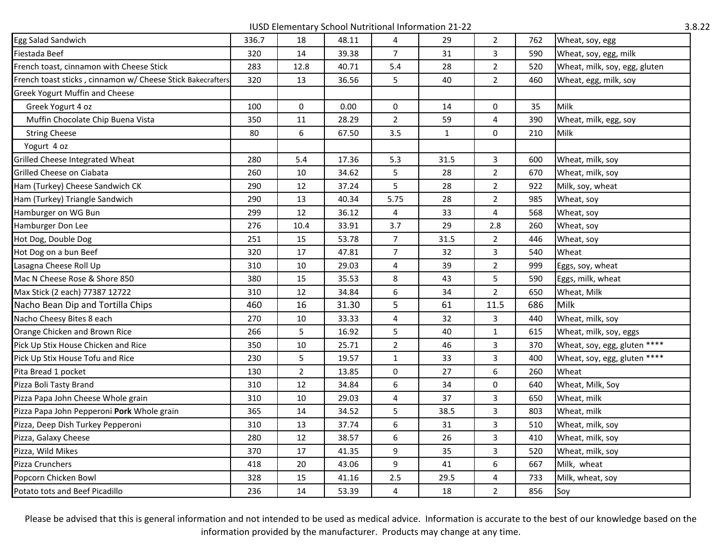IUSD Elementary School Nutritional Information 21-22 3.8.22

| Egg Salad Sandwich                                         | 336.7 | 18             | 48.11 | 4              | 29          | $\overline{2}$ | 762 | Wheat, soy, egg               |
|------------------------------------------------------------|-------|----------------|-------|----------------|-------------|----------------|-----|-------------------------------|
| Fiestada Beef                                              | 320   | 14             | 39.38 | $\overline{7}$ | 31          | 3              | 590 | Wheat, soy, egg, milk         |
| French toast, cinnamon with Cheese Stick                   | 283   | 12.8           | 40.71 | 5.4            | 28          | $\overline{2}$ | 520 | Wheat, milk, soy, egg, gluten |
| French toast sticks, cinnamon w/ Cheese Stick Bakecrafters | 320   | 13             | 36.56 | 5              | 40          | $\overline{2}$ | 460 | Wheat, egg, milk, soy         |
| <b>Greek Yogurt Muffin and Cheese</b>                      |       |                |       |                |             |                |     |                               |
| Greek Yogurt 4 oz                                          | 100   | 0              | 0.00  | 0              | 14          | 0              | 35  | Milk                          |
| Muffin Chocolate Chip Buena Vista                          | 350   | 11             | 28.29 | $\overline{2}$ | 59          | 4              | 390 | Wheat, milk, egg, soy         |
| <b>String Cheese</b>                                       | 80    | 6              | 67.50 | 3.5            | $\mathbf 1$ | 0              | 210 | Milk                          |
| Yogurt 4 oz                                                |       |                |       |                |             |                |     |                               |
| Grilled Cheese Integrated Wheat                            | 280   | 5.4            | 17.36 | 5.3            | 31.5        | 3              | 600 | Wheat, milk, soy              |
| Grilled Cheese on Ciabata                                  | 260   | 10             | 34.62 | 5              | 28          | $\overline{2}$ | 670 | Wheat, milk, soy              |
| Ham (Turkey) Cheese Sandwich CK                            | 290   | 12             | 37.24 | 5              | 28          | $\overline{2}$ | 922 | Milk, soy, wheat              |
| Ham (Turkey) Triangle Sandwich                             | 290   | 13             | 40.34 | 5.75           | 28          | $\overline{2}$ | 985 | Wheat, soy                    |
| Hamburger on WG Bun                                        | 299   | 12             | 36.12 | 4              | 33          | 4              | 568 | Wheat, soy                    |
| Hamburger Don Lee                                          | 276   | 10.4           | 33.91 | 3.7            | 29          | 2.8            | 260 | Wheat, soy                    |
| Hot Dog, Double Dog                                        | 251   | 15             | 53.78 | 7 <sup>1</sup> | 31.5        | $2^{\circ}$    | 446 | Wheat, soy                    |
| Hot Dog on a bun Beef                                      | 320   | 17             | 47.81 | $\overline{7}$ | 32          | 3              | 540 | Wheat                         |
| Lasagna Cheese Roll Up                                     | 310   | 10             | 29.03 | 4              | 39          | $\overline{2}$ | 999 | Eggs, soy, wheat              |
| Mac N Cheese Rose & Shore 850                              | 380   | 15             | 35.53 | 8              | 43          | 5              | 590 | Eggs, milk, wheat             |
| Max Stick (2 each) 77387 12722                             | 310   | 12             | 34.84 | 6              | 34          | $\overline{2}$ | 650 | Wheat, Milk                   |
| Nacho Bean Dip and Tortilla Chips                          | 460   | 16             | 31.30 | 5              | 61          | 11.5           | 686 | Milk                          |
| Nacho Cheesy Bites 8 each                                  | 270   | 10             | 33.33 | 4              | 32          | 3              | 440 | Wheat, milk, soy              |
| Orange Chicken and Brown Rice                              | 266   | 5              | 16.92 | 5              | 40          | $\mathbf{1}$   | 615 | Wheat, milk, soy, eggs        |
| Pick Up Stix House Chicken and Rice                        | 350   | $10\,$         | 25.71 | $\overline{2}$ | 46          | 3              | 370 | Wheat, soy, egg, gluten ****  |
| Pick Up Stix House Tofu and Rice                           | 230   | 5              | 19.57 | $\mathbf{1}$   | 33          | 3              | 400 | Wheat, soy, egg, gluten ****  |
| Pita Bread 1 pocket                                        | 130   | $\overline{2}$ | 13.85 | 0              | 27          | 6              | 260 | Wheat                         |
| Pizza Boli Tasty Brand                                     | 310   | 12             | 34.84 | 6              | 34          | 0              | 640 | Wheat, Milk, Soy              |
| Pizza Papa John Cheese Whole grain                         | 310   | 10             | 29.03 | 4              | 37          | 3              | 650 | Wheat, milk                   |
| Pizza Papa John Pepperoni Pork Whole grain                 | 365   | 14             | 34.52 | 5              | 38.5        | 3              | 803 | Wheat, milk                   |
| Pizza, Deep Dish Turkey Pepperoni                          | 310   | 13             | 37.74 | 6              | 31          | 3              | 510 | Wheat, milk, soy              |
| Pizza, Galaxy Cheese                                       | 280   | 12             | 38.57 | 6              | 26          | 3              | 410 | Wheat, milk, soy              |
| Pizza, Wild Mikes                                          | 370   | 17             | 41.35 | 9              | 35          | 3              | 520 | Wheat, milk, soy              |
| Pizza Crunchers                                            | 418   | 20             | 43.06 | 9              | 41          | 6              | 667 | Milk, wheat                   |
| Popcorn Chicken Bowl                                       | 328   | 15             | 41.16 | $2.5\,$        | 29.5        | $\overline{4}$ | 733 | Milk, wheat, soy              |
| Potato tots and Beef Picadillo                             | 236   | 14             | 53.39 | 4              | 18          | $\overline{2}$ | 856 | Soy                           |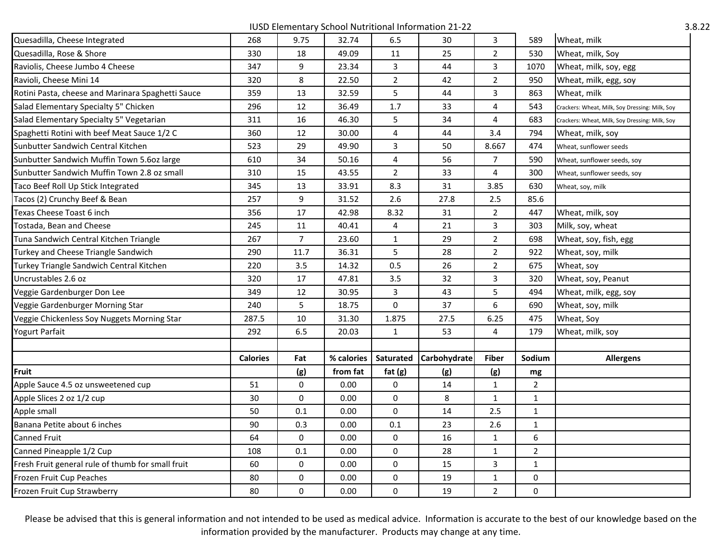IUSD Elementary School Nutritional Information 21-22 3.8.22

| Quesadilla, Cheese Integrated                     | 268             | 9.75           | 32.74      | 6.5            | 30           | 3              | 589            | Wheat, milk                                    |
|---------------------------------------------------|-----------------|----------------|------------|----------------|--------------|----------------|----------------|------------------------------------------------|
| Quesadilla, Rose & Shore                          | 330             | 18             | 49.09      | 11             | 25           | $\overline{2}$ | 530            | Wheat, milk, Soy                               |
| Raviolis, Cheese Jumbo 4 Cheese                   | 347             | 9              | 23.34      | $\overline{3}$ | 44           | $\overline{3}$ | 1070           | Wheat, milk, soy, egg                          |
| Ravioli, Cheese Mini 14                           | 320             | 8              | 22.50      | $\overline{2}$ | 42           | $\overline{2}$ | 950            | Wheat, milk, egg, soy                          |
| Rotini Pasta, cheese and Marinara Spaghetti Sauce | 359             | 13             | 32.59      | 5              | 44           | 3              | 863            | Wheat, milk                                    |
| Salad Elementary Specialty 5" Chicken             | 296             | 12             | 36.49      | 1.7            | 33           | $\overline{4}$ | 543            | Crackers: Wheat, Milk, Soy Dressing: Milk, Soy |
| Salad Elementary Specialty 5" Vegetarian          | 311             | 16             | 46.30      | 5              | 34           | $\overline{4}$ | 683            | Crackers: Wheat, Milk, Soy Dressing: Milk, Soy |
| Spaghetti Rotini with beef Meat Sauce 1/2 C       | 360             | 12             | 30.00      | 4              | 44           | 3.4            | 794            | Wheat, milk, soy                               |
| Sunbutter Sandwich Central Kitchen                | 523             | 29             | 49.90      | 3              | 50           | 8.667          | 474            | Wheat, sunflower seeds                         |
| Sunbutter Sandwich Muffin Town 5.6oz large        | 610             | 34             | 50.16      | 4              | 56           | $\overline{7}$ | 590            | Wheat, sunflower seeds, soy                    |
| Sunbutter Sandwich Muffin Town 2.8 oz small       | 310             | 15             | 43.55      | $\overline{2}$ | 33           | $\overline{4}$ | 300            | Wheat, sunflower seeds, soy                    |
| Taco Beef Roll Up Stick Integrated                | 345             | 13             | 33.91      | 8.3            | 31           | 3.85           | 630            | Wheat, soy, milk                               |
| Tacos (2) Crunchy Beef & Bean                     | 257             | 9              | 31.52      | 2.6            | 27.8         | 2.5            | 85.6           |                                                |
| Texas Cheese Toast 6 inch                         | 356             | 17             | 42.98      | 8.32           | 31           | $\overline{2}$ | 447            | Wheat, milk, soy                               |
| Tostada, Bean and Cheese                          | 245             | 11             | 40.41      | 4              | 21           | 3              | 303            | Milk, soy, wheat                               |
| Tuna Sandwich Central Kitchen Triangle            | 267             | $\overline{7}$ | 23.60      | $\mathbf{1}$   | 29           | $\overline{2}$ | 698            | Wheat, soy, fish, egg                          |
| Turkey and Cheese Triangle Sandwich               | 290             | 11.7           | 36.31      | 5              | 28           | $\overline{2}$ | 922            | Wheat, soy, milk                               |
| Turkey Triangle Sandwich Central Kitchen          | 220             | 3.5            | 14.32      | 0.5            | 26           | $\overline{2}$ | 675            | Wheat, soy                                     |
| Jncrustables 2.6 oz                               | 320             | 17             | 47.81      | 3.5            | 32           | 3              | 320            | Wheat, soy, Peanut                             |
| Veggie Gardenburger Don Lee                       | 349             | 12             | 30.95      | 3              | 43           | 5              | 494            | Wheat, milk, egg, soy                          |
| Veggie Gardenburger Morning Star                  | 240             | 5              | 18.75      | 0              | 37           | 6              | 690            | Wheat, soy, milk                               |
| Veggie Chickenless Soy Nuggets Morning Star       | 287.5           | 10             | 31.30      | 1.875          | 27.5         | 6.25           | 475            | Wheat, Soy                                     |
| Yogurt Parfait                                    | 292             | 6.5            | 20.03      | $\mathbf{1}$   | 53           | $\overline{4}$ | 179            | Wheat, milk, soy                               |
|                                                   |                 |                |            |                |              |                |                |                                                |
|                                                   | <b>Calories</b> | Fat            | % calories | Saturated      | Carbohydrate | <b>Fiber</b>   | Sodium         | <b>Allergens</b>                               |
| Fruit                                             |                 | (g)            | from fat   | fat $(g)$      | (g)          | (g)            | mg             |                                                |
| Apple Sauce 4.5 oz unsweetened cup                | 51              | 0              | 0.00       | 0              | 14           | $\mathbf{1}$   | $\overline{2}$ |                                                |
| Apple Slices 2 oz 1/2 cup                         | 30              | $\Omega$       | 0.00       | 0              | 8            | $\mathbf{1}$   | $\mathbf{1}$   |                                                |
| Apple small                                       | 50              | 0.1            | 0.00       | 0              | 14           | 2.5            | $\mathbf{1}$   |                                                |
| Banana Petite about 6 inches                      | 90              | 0.3            | 0.00       | 0.1            | 23           | 2.6            | $\mathbf{1}$   |                                                |
| Canned Fruit                                      | 64              | 0              | 0.00       | 0              | 16           | 1              | 6              |                                                |
| Canned Pineapple 1/2 Cup                          | 108             | 0.1            | 0.00       | 0              | 28           | $\mathbf{1}$   | $\overline{2}$ |                                                |
| Fresh Fruit general rule of thumb for small fruit | 60              | 0              | 0.00       | 0              | 15           | 3              | $\mathbf{1}$   |                                                |
| Frozen Fruit Cup Peaches                          | 80              | 0              | 0.00       | 0              | 19           | $\mathbf{1}$   | 0              |                                                |
| Frozen Fruit Cup Strawberry                       | 80              | 0              | 0.00       | 0              | 19           | $\overline{2}$ | 0              |                                                |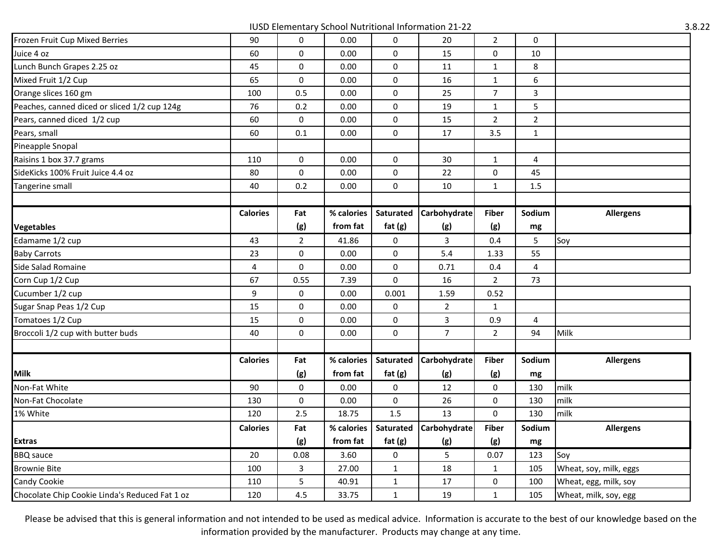IUSD Elementary School Nutritional Information 21-22 3.8.22

| Frozen Fruit Cup Mixed Berries                 | 90              | 0              | 0.00       | 0            | 20             | $\overline{2}$ | 0                       |                        |
|------------------------------------------------|-----------------|----------------|------------|--------------|----------------|----------------|-------------------------|------------------------|
| Juice 4 oz                                     | 60              | 0              | 0.00       | 0            | 15             | 0              | 10                      |                        |
| Lunch Bunch Grapes 2.25 oz                     | 45              | 0              | 0.00       | 0            | 11             | $\mathbf{1}$   | 8                       |                        |
| Mixed Fruit 1/2 Cup                            | 65              | 0              | 0.00       | 0            | 16             | $\mathbf{1}$   | 6                       |                        |
| Orange slices 160 gm                           | 100             | 0.5            | 0.00       | $\mathbf 0$  | 25             | $\overline{7}$ | 3                       |                        |
| Peaches, canned diced or sliced 1/2 cup 124g   | 76              | 0.2            | 0.00       | 0            | 19             | $\mathbf{1}$   | 5                       |                        |
| Pears, canned diced 1/2 cup                    | 60              | 0              | 0.00       | 0            | 15             | $\overline{2}$ | $\mathbf 2$             |                        |
| Pears, small                                   | 60              | $0.1\,$        | 0.00       | 0            | 17             | 3.5            | $\mathbf{1}$            |                        |
| Pineapple Snopal                               |                 |                |            |              |                |                |                         |                        |
| Raisins 1 box 37.7 grams                       | 110             | 0              | 0.00       | 0            | 30             | $\mathbf{1}$   | 4                       |                        |
| SideKicks 100% Fruit Juice 4.4 oz              | 80              | 0              | 0.00       | 0            | 22             | 0              | 45                      |                        |
| Tangerine small                                | 40              | 0.2            | 0.00       | 0            | 10             | $\mathbf{1}$   | 1.5                     |                        |
|                                                |                 |                |            |              |                |                |                         |                        |
|                                                | <b>Calories</b> | Fat            | % calories | Saturated    | Carbohydrate   | <b>Fiber</b>   | Sodium                  | <b>Allergens</b>       |
| <b>Vegetables</b>                              |                 | (g)            | from fat   | fat $(g)$    | (g)            | (g)            | ${\sf mg}$              |                        |
| Edamame 1/2 cup                                | 43              | $\overline{2}$ | 41.86      | 0            | 3              | 0.4            | 5                       | Soy                    |
| <b>Baby Carrots</b>                            | 23              | 0              | 0.00       | 0            | 5.4            | 1.33           | 55                      |                        |
| Side Salad Romaine                             | $\pmb{4}$       | 0              | 0.00       | 0            | 0.71           | 0.4            | $\overline{\mathbf{4}}$ |                        |
| Corn Cup 1/2 Cup                               | 67              | 0.55           | 7.39       | 0            | 16             | $\overline{2}$ | 73                      |                        |
| Cucumber 1/2 cup                               | 9               | 0              | 0.00       | 0.001        | 1.59           | 0.52           |                         |                        |
| Sugar Snap Peas 1/2 Cup                        | 15              | 0              | 0.00       | 0            | $\overline{2}$ | $\mathbf{1}$   |                         |                        |
| Tomatoes 1/2 Cup                               | 15              | 0              | 0.00       | 0            | 3              | 0.9            | $\overline{4}$          |                        |
| Broccoli 1/2 cup with butter buds              | 40              | 0              | 0.00       | 0            | $\overline{7}$ | $\overline{2}$ | 94                      | Milk                   |
|                                                |                 |                |            |              |                |                |                         |                        |
|                                                | <b>Calories</b> | Fat            | % calories | Saturated    | Carbohydrate   | <b>Fiber</b>   | Sodium                  | <b>Allergens</b>       |
| <b>Milk</b>                                    |                 | (g)            | from fat   | fat $(g)$    | (g)            | (g)            | mg                      |                        |
| Non-Fat White                                  | 90              | 0              | 0.00       | 0            | 12             | 0              | 130                     | milk                   |
| Non-Fat Chocolate                              | 130             | 0              | 0.00       | 0            | 26             | 0              | 130                     | milk                   |
| 1% White                                       | 120             | 2.5            | 18.75      | 1.5          | 13             | $\Omega$       | 130                     | milk                   |
|                                                | <b>Calories</b> | Fat            | % calories | Saturated    | Carbohydrate   | <b>Fiber</b>   | Sodium                  | <b>Allergens</b>       |
| <b>Extras</b>                                  |                 | (g)            | from fat   | fat $(g)$    | (g)            | (g)            | mg                      |                        |
| <b>BBQ</b> sauce                               | 20              | 0.08           | 3.60       | 0            | 5              | 0.07           | 123                     | Soy                    |
| <b>Brownie Bite</b>                            | 100             | 3              | 27.00      | $\mathbf{1}$ | 18             | $\mathbf{1}$   | 105                     | Wheat, soy, milk, eggs |
| Candy Cookie                                   | 110             | 5              | 40.91      | $\mathbf{1}$ | 17             | 0              | 100                     | Wheat, egg, milk, soy  |
| Chocolate Chip Cookie Linda's Reduced Fat 1 oz | 120             | 4.5            | 33.75      | $\mathbf{1}$ | 19             | $\mathbf{1}$   | 105                     | Wheat, milk, soy, egg  |
|                                                |                 |                |            |              |                |                |                         |                        |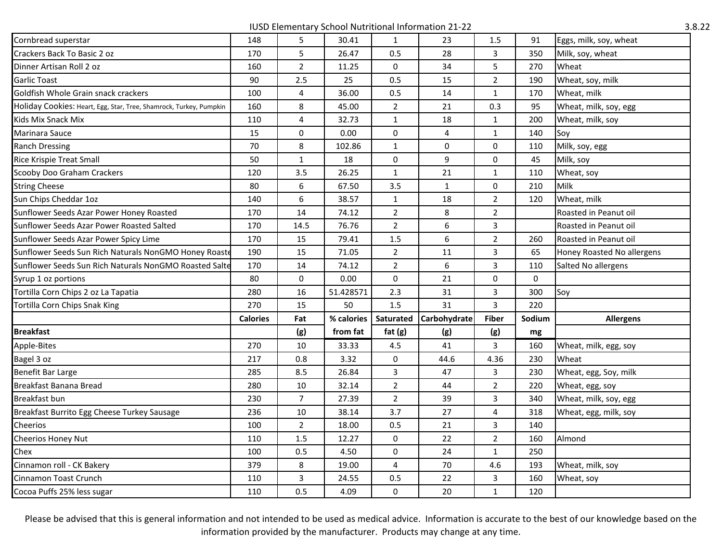IUSD Elementary School Nutritional Information 21-22 3.8.22

| Cornbread superstar                                                | 148             | 5              | 30.41      | $\mathbf{1}$   | 23           | 1.5            | 91          | Eggs, milk, soy, wheat     |
|--------------------------------------------------------------------|-----------------|----------------|------------|----------------|--------------|----------------|-------------|----------------------------|
| Crackers Back To Basic 2 oz                                        | 170             | 5              | 26.47      | 0.5            | 28           | $\overline{3}$ | 350         | Milk, soy, wheat           |
| Dinner Artisan Roll 2 oz                                           | 160             | $\overline{2}$ | 11.25      | 0              | 34           | 5              | 270         | Wheat                      |
| Garlic Toast                                                       | 90              | 2.5            | 25         | 0.5            | 15           | $\overline{2}$ | 190         | Wheat, soy, milk           |
| Goldfish Whole Grain snack crackers                                | 100             | 4              | 36.00      | 0.5            | 14           | $\mathbf{1}$   | 170         | Wheat, milk                |
| Holiday Cookies: Heart, Egg, Star, Tree, Shamrock, Turkey, Pumpkin | 160             | 8              | 45.00      | $\overline{2}$ | 21           | 0.3            | 95          | Wheat, milk, soy, egg      |
| Kids Mix Snack Mix                                                 | 110             | 4              | 32.73      | $\mathbf{1}$   | 18           | $\mathbf{1}$   | 200         | Wheat, milk, soy           |
| Marinara Sauce                                                     | 15              | 0              | 0.00       | 0              | 4            | $\mathbf{1}$   | 140         | Soy                        |
| <b>Ranch Dressing</b>                                              | 70              | 8              | 102.86     | $\mathbf{1}$   | $\pmb{0}$    | 0              | 110         | Milk, soy, egg             |
| Rice Krispie Treat Small                                           | 50              | $\mathbf{1}$   | 18         | 0              | 9            | 0              | 45          | Milk, soy                  |
| <b>Scooby Doo Graham Crackers</b>                                  | 120             | 3.5            | 26.25      | $\mathbf{1}$   | 21           | $\mathbf{1}$   | 110         | Wheat, soy                 |
| <b>String Cheese</b>                                               | 80              | 6              | 67.50      | 3.5            | $\mathbf{1}$ | 0              | 210         | Milk                       |
| Sun Chips Cheddar 1oz                                              | 140             | 6              | 38.57      | $\mathbf{1}$   | 18           | $\overline{2}$ | 120         | Wheat, milk                |
| Sunflower Seeds Azar Power Honey Roasted                           | 170             | 14             | 74.12      | $\overline{2}$ | 8            | $\overline{2}$ |             | Roasted in Peanut oil      |
| Sunflower Seeds Azar Power Roasted Salted                          | 170             | 14.5           | 76.76      | $\overline{2}$ | 6            | 3              |             | Roasted in Peanut oil      |
| Sunflower Seeds Azar Power Spicy Lime                              | 170             | 15             | 79.41      | 1.5            | 6            | $\overline{2}$ | 260         | Roasted in Peanut oil      |
| Sunflower Seeds Sun Rich Naturals NonGMO Honey Roaste              | 190             | 15             | 71.05      | $\overline{2}$ | $11\,$       | 3              | 65          | Honey Roasted No allergens |
| Sunflower Seeds Sun Rich Naturals NonGMO Roasted Salte             | 170             | 14             | 74.12      | $\overline{2}$ | 6            | 3              | 110         | Salted No allergens        |
| Syrup 1 oz portions                                                | 80              | 0              | 0.00       | 0              | 21           | $\mathbf 0$    | $\mathbf 0$ |                            |
| Tortilla Corn Chips 2 oz La Tapatia                                | 280             | 16             | 51.428571  | 2.3            | 31           | $\overline{3}$ | 300         | Soy                        |
| Tortilla Corn Chips Snak King                                      | 270             | 15             | 50         | 1.5            | 31           | 3              | 220         |                            |
|                                                                    | <b>Calories</b> | Fat            | % calories | Saturated      | Carbohydrate | <b>Fiber</b>   | Sodium      | <b>Allergens</b>           |
| <b>Breakfast</b>                                                   |                 | (g)            | from fat   | fat $(g)$      | (g)          | (g)            | $mg$        |                            |
| Apple-Bites                                                        | 270             | 10             | 33.33      | 4.5            | 41           | 3              | 160         | Wheat, milk, egg, soy      |
| Bagel 3 oz                                                         | 217             | 0.8            | 3.32       | 0              | 44.6         | 4.36           | 230         | Wheat                      |
| Benefit Bar Large                                                  | 285             | 8.5            | 26.84      | $\mathbf{3}$   | 47           | $\mathbf{3}$   | 230         | Wheat, egg, Soy, milk      |
| Breakfast Banana Bread                                             | 280             | 10             | 32.14      | $\overline{2}$ | 44           | $\overline{2}$ | 220         | Wheat, egg, soy            |
| Breakfast bun                                                      | 230             | $\overline{7}$ | 27.39      | $\overline{2}$ | 39           | 3              | 340         | Wheat, milk, soy, egg      |
| Breakfast Burrito Egg Cheese Turkey Sausage                        | 236             | 10             | 38.14      | 3.7            | 27           | $\overline{4}$ | 318         | Wheat, egg, milk, soy      |
| Cheerios                                                           | 100             | $\overline{2}$ | 18.00      | 0.5            | 21           | 3              | 140         |                            |
| Cheerios Honey Nut                                                 | 110             | $1.5\,$        | 12.27      | 0              | 22           | $\overline{2}$ | 160         | Almond                     |
| Chex                                                               | 100             | 0.5            | 4.50       | 0              | 24           | $\mathbf{1}$   | 250         |                            |
| Cinnamon roll - CK Bakery                                          | 379             | 8              | 19.00      | 4              | 70           | 4.6            | 193         | Wheat, milk, soy           |
| Cinnamon Toast Crunch                                              | 110             | 3              | 24.55      | 0.5            | 22           | $\mathsf{3}$   | 160         | Wheat, soy                 |
| Cocoa Puffs 25% less sugar                                         | 110             | 0.5            | 4.09       | 0              | 20           | $\mathbf{1}$   | 120         |                            |